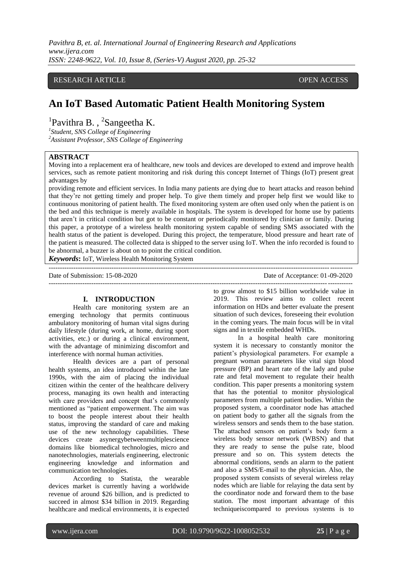### RESEARCH ARTICLE **CONSERVERS** OPEN ACCESS

# **An IoT Based Automatic Patient Health Monitoring System**

<sup>1</sup>Pavithra B., <sup>2</sup>Sangeetha K.

*1 Student, SNS College of Engineering <sup>2</sup>Assistant Professor, SNS College of Engineering*

### **ABSTRACT**

Moving into a replacement era of healthcare, new tools and devices are developed to extend and improve health services, such as remote patient monitoring and risk during this concept Internet of Things (IoT) present great advantages by

providing remote and efficient services. In India many patients are dying due to heart attacks and reason behind that they're not getting timely and proper help. To give them timely and proper help first we would like to continuous monitoring of patient health. The fixed monitoring system are often used only when the patient is on the bed and this technique is merely available in hospitals. The system is developed for home use by patients that aren't in critical condition but got to be constant or periodically monitored by clinician or family. During this paper, a prototype of a wireless health monitoring system capable of sending SMS associated with the health status of the patient is developed. During this project, the temperature, blood pressure and heart rate of the patient is measured. The collected data is shipped to the server using IoT. When the info recorded is found to be abnormal, a buzzer is about on to point the critical condition.

*Keywords***:** IoT, Wireless Health Monitoring System

Date of Submission: 15-08-2020 Date of Acceptance: 01-09-2020

---------------------------------------------------------------------------------------------------------------------------------------

### **I. INTRODUCTION**

Health care monitoring system are an emerging technology that permits continuous ambulatory monitoring of human vital signs during daily lifestyle (during work, at home, during sport activities, etc.) or during a clinical environment, with the advantage of minimizing discomfort and interference with normal human activities.

Health devices are a part of personal health systems, an idea introduced within the late 1990s, with the aim of placing the individual citizen within the center of the healthcare delivery process, managing its own health and interacting with care providers and concept that's commonly mentioned as "patient empowerment. The aim was to boost the people interest about their health status, improving the standard of care and making use of the new technology capabilities. These devices create asynergybetweenmultiplescience domains like biomedical technologies, micro and nanotechnologies, materials engineering, electronic engineering knowledge and information and communication technologies.

According to Statista, the wearable devices market is currently having a worldwide revenue of around \$26 billion, and is predicted to succeed in almost \$34 billion in 2019. Regarding healthcare and medical environments, it is expected to grow almost to \$15 billion worldwide value in 2019. This review aims to collect recent information on HDs and better evaluate the present situation of such devices, foreseeing their evolution in the coming years. The main focus will be in vital signs and in textile embedded WHDs.

---------------------------------------------------------------------------------------------------------------------------------------

In a hospital health care monitoring system it is necessary to constantly monitor the patient's physiological parameters. For example a pregnant woman parameters like vital sign blood pressure (BP) and heart rate of the lady and pulse rate and fetal movement to regulate their health condition. This paper presents a monitoring system that has the potential to monitor physiological parameters from multiple patient bodies. Within the proposed system, a coordinator node has attached on patient body to gather all the signals from the wireless sensors and sends them to the base station. The attached sensors on patient's body form a wireless body sensor network (WBSN) and that they are ready to sense the pulse rate, blood pressure and so on. This system detects the abnormal conditions, sends an alarm to the patient and also a SMS/E-mail to the physician. Also, the proposed system consists of several wireless relay nodes which are liable for relaying the data sent by the coordinator node and forward them to the base station. The most important advantage of this techniqueiscompared to previous systems is to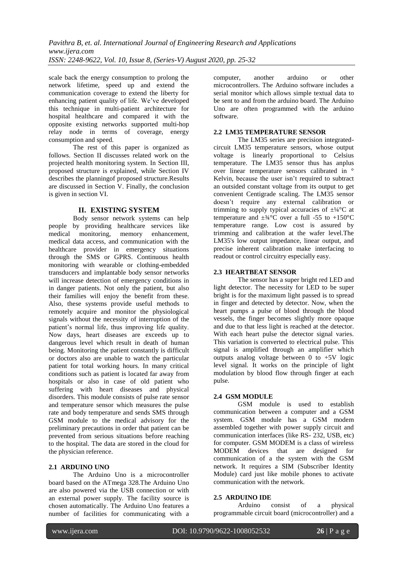scale back the energy consumption to prolong the network lifetime, speed up and extend the communication coverage to extend the liberty for enhancing patient quality of life. We've developed this technique in multi-patient architecture for hospital healthcare and compared it with the opposite existing networks supported multi-hop relay node in terms of coverage, energy consumption and speed.

The rest of this paper is organized as follows. Section II discusses related work on the projected health monitoring system. In Section III, proposed structure is explained, while Section IV describes the planningof proposed structure.Results are discussed in Section V. Finally, the conclusion is given in section VI.

### **II. EXISTING SYSTEM**

Body sensor network systems can help people by providing healthcare services like medical monitoring, memory enhancement, medical data access, and communication with the healthcare provider in emergency situations through the SMS or GPRS. Continuous health monitoring with wearable or clothing-embedded transducers and implantable body sensor networks will increase detection of emergency conditions in in danger patients. Not only the patient, but also their families will enjoy the benefit from these. Also, these systems provide useful methods to remotely acquire and monitor the physiological signals without the necessity of interruption of the patient's normal life, thus improving life quality. Now days, heart diseases are exceeds up to dangerous level which result in death of human being. Monitoring the patient constantly is difficult or doctors also are unable to watch the particular patient for total working hours. In many critical conditions such as patient is located far away from hospitals or also in case of old patient who suffering with heart diseases and physical disorders. This module consists of pulse rate sensor and temperature sensor which measures the pulse rate and body temperature and sends SMS through GSM module to the medical advisory for the preliminary precautions in order that patient can be prevented from serious situations before reaching to the hospital. The data are stored in the cloud for the physician reference.

### **2.1 ARDUINO UNO**

The Arduino Uno is a microcontroller board based on the ATmega 328.The Arduino Uno are also powered via the USB connection or with an external power supply. The facility source is chosen automatically. The Arduino Uno features a number of facilities for communicating with a computer, another arduino or other microcontrollers. The Arduino software includes a serial monitor which allows simple textual data to be sent to and from the arduino board. The Arduino Uno are often programmed with the arduino software.

### **2.2 LM35 TEMPERATURE SENSOR**

The LM35 series are precision integratedcircuit LM35 temperature sensors, whose output voltage is linearly proportional to Celsius temperature. The LM35 sensor thus has anplus over linear temperature sensors calibrated in ° Kelvin, because the user isn't required to subtract an outsided constant voltage from its output to get convenient Centigrade scaling. The LM35 sensor doesn't require any external calibration or trimming to supply typical accuracies of  $\pm$ <sup>1</sup>/<sub>4</sub>°C at temperature and  $\pm$ <sup>3</sup>/<sub>4</sub>°C over a full -55 to +150°C temperature range. Low cost is assured by trimming and calibration at the wafer level.The LM35's low output impedance, linear output, and precise inherent calibration make interfacing to readout or control circuitry especially easy.

### **2.3 HEARTBEAT SENSOR**

The sensor has a super bright red LED and light detector. The necessity for LED to be super bright is for the maximum light passed is to spread in finger and detected by detector. Now, when the heart pumps a pulse of blood through the blood vessels, the finger becomes slightly more opaque and due to that less light is reached at the detector. With each heart pulse the detector signal varies. This variation is converted to electrical pulse. This signal is amplified through an amplifier which outputs analog voltage between 0 to +5V logic level signal. It works on the principle of light modulation by blood flow through finger at each pulse.

### **2.4 GSM MODULE**

GSM module is used to establish communication between a computer and a GSM system. GSM module has a GSM modem assembled together with power supply circuit and communication interfaces (like RS- 232, USB, etc) for computer. GSM MODEM is a class of wireless MODEM devices that are designed for communication of a the system with the GSM network. It requires a SIM (Subscriber Identity Module) card just like mobile phones to activate communication with the network.

### **2.5 ARDUINO IDE**

Arduino consist of a physical programmable circuit board (microcontroller) and a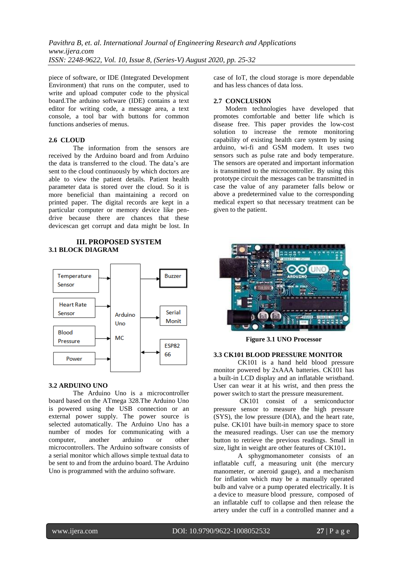piece of software, or IDE (Integrated Development Environment) that runs on the computer, used to write and upload computer code to the physical board.The arduino software (IDE) contains a text editor for writing code, a message area, a text console, a tool bar with buttons for common functions andseries of menus.

### **2.6 CLOUD**

The information from the sensors are received by the Arduino board and from Arduino the data is transferred to the cloud. The data's are sent to the cloud continuously by which doctors are able to view the patient details. Patient health parameter data is stored over the cloud. So it is more beneficial than maintaining a record on printed paper. The digital records are kept in a particular computer or memory device like pendrive because there are chances that these devicescan get corrupt and data might be lost. In

### **III. PROPOSED SYSTEM 3.1 BLOCK DIAGRAM**



#### **3.2 ARDUINO UNO**

The Arduino Uno is a microcontroller board based on the ATmega 328.The Arduino Uno is powered using the USB connection or an external power supply. The power source is selected automatically. The Arduino Uno has a number of modes for communicating with a computer, another arduino or other microcontrollers. The Arduino software consists of a serial monitor which allows simple textual data to be sent to and from the arduino board. The Arduino Uno is programmed with the arduino software.

case of IoT, the cloud storage is more dependable and has less chances of data loss.

#### **2.7 CONCLUSION**

 Modern technologies have developed that promotes comfortable and better life which is disease free. This paper provides the low-cost solution to increase the remote monitoring capability of existing health care system by using arduino, wi-fi and GSM modem. It uses two sensors such as pulse rate and body temperature. The sensors are operated and important information is transmitted to the microcontroller. By using this prototype circuit the messages can be transmitted in case the value of any parameter falls below or above a predetermined value to the corresponding medical expert so that necessary treatment can be given to the patient.



**Figure 3.1 UNO Processor**

#### **3.3 CK101 BLOOD PRESSURE MONITOR**

CK101 is a hand held blood pressure monitor powered by 2xAAA batteries. CK101 has a built-in LCD display and an inflatable wristband. User can wear it at his wrist, and then press the power switch to start the pressure measurement.

CK101 consist of a semiconductor pressure sensor to measure the high pressure (SYS), the low pressure (DIA), and the heart rate, pulse. CK101 have built-in memory space to store the measured readings. User can use the memory button to retrieve the previous readings. Small in size, light in weight are other features of CK101**.**

A sphygmomanometer consists of an inflatable cuff, a measuring unit (the mercury manometer, or aneroid gauge), and a mechanism for inflation which may be a manually operated bulb and valve or a pump operated electrically. It is a device to measure blood pressure, composed of an inflatable cuff to collapse and then release the artery under the cuff in a controlled manner and a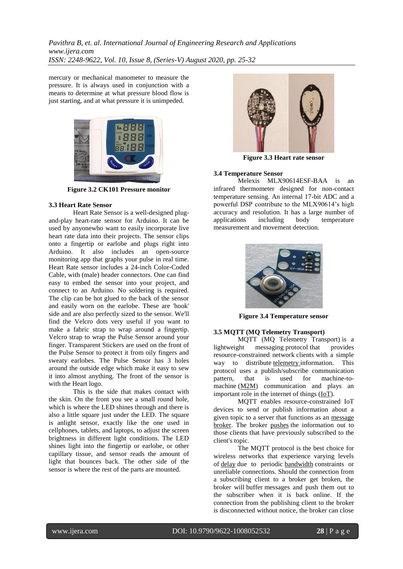mercury or mechanical manometer to measure the pressure. It is always used in conjunction with a means to determine at what pressure blood flow is just starting, and at what pressure it is unimpeded.



**Figure 3.2 CK101 Pressure monitor**

### **3.3 Heart Rate Sensor**

Heart Rate Sensor is a well-designed plugand-play heart-rate sensor for Arduino. It can be used by anyonewho want to easily incorporate live heart rate data into their projects. The sensor clips onto a fingertip or earlobe and plugs right into Arduino. It also includes an open-source monitoring app that graphs your pulse in real time. Heart Rate sensor includes a 24-inch Color-Coded Cable, with (male) header connectors. One can find easy to embed the sensor into your project, and connect to an Arduino. No soldering is required. The clip can be hot glued to the back of the sensor and easily worn on the earlobe. These are 'hook' side and are also perfectly sized to the sensor. We'll find the Velcro dots very useful if you want to make a fabric strap to wrap around a fingertip. Velcro strap to wrap the Pulse Sensor around your finger. Transparent Stickers are used on the front of the Pulse Sensor to protect it from oily fingers and sweaty earlobes. The Pulse Sensor has 3 holes around the outside edge which make it easy to sew it into almost anything. The front of the sensor is with the Heart logo.

This is the side that makes contact with the skin. On the front you see a small round hole, which is where the LED shines through and there is also a little square just under the LED. The square is anlight sensor, exactly like the one used in cellphones, tablets, and laptops, to adjust the screen brightness in different light conditions. The LED shines light into the fingertip or earlobe, or other capillary tissue, and sensor reads the amount of light that bounces back. The other side of the sensor is where the rest of the parts are mounted.



**Figure 3.3 Heart rate sensor**

### **3.4 Temperature Sensor**

Melexis MLX90614ESF-BAA is an infrared thermometer designed for non-contact temperature sensing. An internal 17-bit ADC and a powerful DSP contribute to the MLX90614's high accuracy and resolution. It has a large number of applications including body temperature measurement and movement detection.



**Figure 3.4 Temperature sensor**

### **3.5 MQTT (MQ Telemetry Transport)**

MQTT (MQ Telemetry Transport) is a lightweight messaging protocol that provides resource-constrained network clients with a simple way to distribute [telemetry](http://whatis.techtarget.com/definition/telemetry) information. This protocol uses a publish/subscribe communication pattern, that is used for machine-to-machine [\(M2M\)](http://internetofthingsagenda.techtarget.com/definition/machine-to-machine-M2M) communication and plays an important role in the internet of things [\(IoT\)](http://internetofthingsagenda.techtarget.com/definition/Internet-of-Things-IoT).

MQTT enables resource-constrained IoT devices to send or publish information about a given topic to a server that functions as an [message](http://whatis.techtarget.com/definition/message-broker)  [broker.](http://whatis.techtarget.com/definition/message-broker) The broker [pushes](http://whatis.techtarget.com/definition/push-or-server-push) the information out to those clients that have previously subscribed to the client's topic.

The MQTT protocol is the best choice for wireless networks that experience varying levels of [delay](http://whatis.techtarget.com/definition/latency) due to periodic [bandwidth](http://searchenterprisewan.techtarget.com/definition/bandwidth) constraints or unreliable connections. Should the connection from a subscribing client to a broker get broken, the broker will buffer messages and push them out to the subscriber when it is back online. If the connection from the publishing client to the broker is disconnected without notice, the broker can close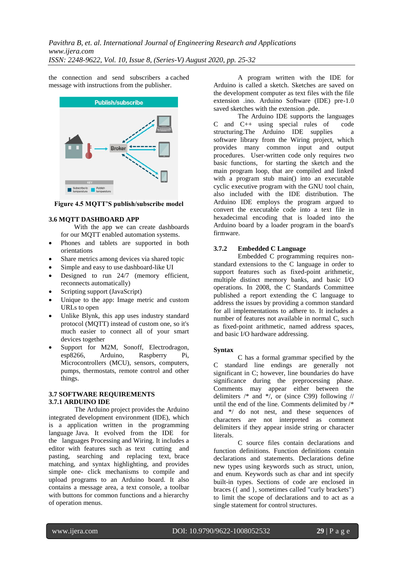the connection and send subscribers a cached message with instructions from the publisher.



**Figure 4.5 MQTT'S publish/subscribe model**

### **3.6 MQTT DASHBOARD APP**

 With the app we can create dashboards for our MQTT enabled automation systems.

- Phones and tablets are supported in both orientations
- Share metrics among devices via shared topic
- Simple and easy to use dashboard-like UI
- Designed to run 24/7 (memory efficient, reconnects automatically)
- Scripting support (JavaScript)
- Unique to the app: Image metric and custom URLs to open
- Unlike Blynk, this app uses industry standard protocol (MQTT) instead of custom one, so it's much easier to connect all of your smart devices together
- Support for M2M, Sonoff, Electrodragon, esp8266, Arduino, Raspberry Pi, Microcontrollers (MCU), sensors, computers, pumps, thermostats, remote control and other things.

### **3.7 SOFTWARE REQUIREMENTS 3.7.1 ARDUINO IDE**

The Arduino project provides the Arduino integrated development environment (IDE), which is a application written in the programming language Java. It evolved from the IDE for the languages Processing and Wiring. It includes a editor with features such as text cutting and pasting, searching and replacing text, brace matching, and syntax highlighting, and provides simple one- click mechanisms to compile and upload programs to an Arduino board. It also contains a message area, a text console, a toolbar with buttons for common functions and a hierarchy of operation menus.

A program written with the IDE for Arduino is called a sketch. Sketches are saved on the development computer as text files with the file extension *.*ino. Arduino Software (IDE) pre-1.0 saved sketches with the extension *.*pde.

The Arduino IDE supports the languages C and C++ using special rules of code structuring.The Arduino IDE supplies a software library from the Wiring project, which provides many common input and output procedures. User-written code only requires two basic functions, for starting the sketch and the main program loop, that are compiled and linked with a program stub main() into an executable cyclic executive program with the GNU tool chain, also included with the IDE distribution. The Arduino IDE employs the program argued to convert the executable code into a text file in hexadecimal encoding that is loaded into the Arduino board by a loader program in the board's firmware.

### **3.7.2 Embedded C Language**

Embedded C programming requires nonstandard extensions to the C language in order to support features such as fixed-point arithmetic, multiple distinct memory banks, and basic I/O operations. In 2008, the C Standards Committee published a report extending the C language to address the issues by providing a common standard for all implementations to adhere to. It includes a number of features not available in normal C, such as fixed-point arithmetic, named address spaces, and basic I/O hardware addressing.

### **Syntax**

C has a formal grammar specified by the C standard line endings are generally not significant in C; however, line boundaries do have significance during the preprocessing phase. Comments may appear either between the delimiters  $/*$  and  $*/$ , or (since C99) following  $//$ until the end of the line. Comments delimited by /\* and \*/ do not nest, and these sequences of characters are not interpreted as comment delimiters if they appear inside string or character **literals** 

C source files contain declarations and function definitions. Function definitions contain declarations and statements. Declarations define new types using keywords such as struct, union, and enum. Keywords such as char and int specify built-in types. Sections of code are enclosed in braces ({ and }, sometimes called "curly brackets") to limit the scope of declarations and to act as a single statement for control structures.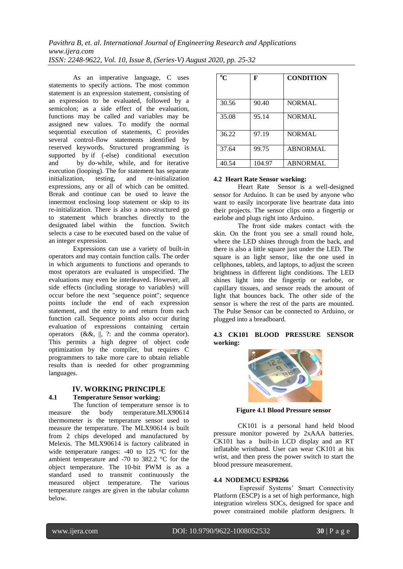As an imperative language, C uses statements to specify actions. The most common statement is an expression statement, consisting of an expression to be evaluated, followed by a semicolon: as a side effect of the evaluation, functions may be called and variables may be assigned new values. To modify the normal sequential execution of statements, C provides several control-flow statements identified by reserved keywords. Structured programming is supported by if (-else) conditional execution and by do-while, while, and for iterative execution (looping). The for statement has separate initialization, testing, and re-initialization expressions, any or all of which can be omitted. Break and continue can be used to leave the innermost enclosing loop statement or skip to its re-initialization. There is also a non-structured go to statement which branches directly to the designated label within the function. Switch selects a case to be executed based on the value of an integer expression.

Expressions can use a variety of built-in operators and may contain function calls. The order in which arguments to functions and operands to most operators are evaluated is unspecified. The evaluations may even be interleaved. However, all side effects (including storage to variables) will occur before the next "sequence point"; sequence points include the end of each expression statement, and the entry to and return from each function call. Sequence points also occur during evaluation of expressions containing certain operators (&&, ||, ?: and the comma operator). This permits a high degree of object code optimization by the compiler, but requires C programmers to take more care to obtain reliable results than is needed for other programming languages.

# **IV. WORKING PRINCIPLE**

# **4.1 Temperature Sensor working:**

The function of temperature sensor is to measure the body temperature.MLX90614 thermometer is the temperature sensor used to measure the temperature. The MLX90614 is built from 2 chips developed and manufactured by Melexis. The MLX90614 is factory calibrated in wide temperature ranges: -40 to 125 °C for the ambient temperature and -70 to 382.2 °C for the object temperature. The 10-bit PWM is as a standard used to transmit continuously the measured object temperature. The various temperature ranges are given in the tabular column below.

| $\rm ^{o}C$ | F      | <b>CONDITION</b> |
|-------------|--------|------------------|
| 30.56       | 90.40  | <b>NORMAL</b>    |
| 35.08       | 95.14  | <b>NORMAL</b>    |
| 36.22       | 97.19  | <b>NORMAL</b>    |
| 37.64       | 99.75  | ABNORMAL         |
| 40.54       | 104.97 | <b>ABNORMAL</b>  |

### **4.2 Heart Rate Sensor working:**

Heart Rate Sensor is a well-designed sensor for Arduino. It can be used by anyone who want to easily incorporate live heartrate data into their projects. The sensor clips onto a fingertip or earlobe and plugs right into Arduino.

The front side makes contact with the skin. On the front you see a small round hole, where the LED shines through from the back, and there is also a little square just under the LED. The square is an light sensor, like the one used in cellphones, tablets, and laptops, to adjust the screen brightness in different light conditions. The LED shines light into the fingertip or earlobe, or capillary tissues, and sensor reads the amount of light that bounces back. The other side of the sensor is where the rest of the parts are mounted. The Pulse Sensor can be connected to Arduino, or plugged into a breadboard.

### **4.3 CK101 BLOOD PRESSURE SENSOR working:**



**Figure 4.1 Blood Pressure sensor**

CK101 is a personal hand held blood pressure monitor powered by 2xAAA batteries. CK101 has a built-in LCD display and an RT inflatable wristband. User can wear CK101 at his wrist, and then press the power switch to start the blood pressure measurement.

### **4.4 NODEMCU ESP8266**

Espressif Systems' Smart Connectivity Platform (ESCP) is a set of high performance, high integration wireless SOCs, designed for space and power constrained mobile platform designers. It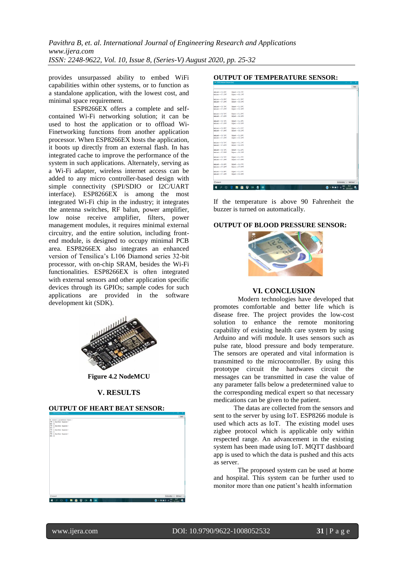provides unsurpassed ability to embed WiFi capabilities within other systems, or to function as a standalone application, with the lowest cost, and minimal space requirement.

ESP8266EX offers a complete and selfcontained Wi-Fi networking solution; it can be used to host the application or to offload Wi-Finetworking functions from another application processor. When ESP8266EX hosts the application, it boots up directly from an external flash. In has integrated cache to improve the performance of the system in such applications. Alternately, serving as a Wi-Fi adapter, wireless internet access can be added to any micro controller-based design with simple connectivity (SPI/SDIO or I2C/UART interface). ESP8266EX is among the most integrated Wi-Fi chip in the industry; it integrates the antenna switches, RF balun, power amplifier, low noise receive amplifier, filters, power management modules, it requires minimal external circuitry, and the entire solution, including frontend module, is designed to occupy minimal PCB area. ESP8266EX also integrates an enhanced version of Tensilica's L106 Diamond series 32-bit processor, with on-chip SRAM, besides the Wi-Fi functionalities. ESP8266EX is often integrated with external sensors and other application specific devices through its GPIOs; sample codes for such applications are provided in the software development kit (SDK).



**Figure 4.2 NodeMCU**

#### **V. RESULTS**

#### **OUTPUT OF HEART BEAT SENSOR:**



### **OUTPUT OF TEMPERATURE SENSOR:**



If the temperature is above 90 Fahrenheit the buzzer is turned on automatically.

#### **OUTPUT OF BLOOD PRESSURE SENSOR:**



#### **VI. CONCLUSION**

Modern technologies have developed that promotes comfortable and better life which is disease free. The project provides the low-cost solution to enhance the remote monitoring capability of existing health care system by using Arduino and wifi module. It uses sensors such as pulse rate, blood pressure and body temperature. The sensors are operated and vital information is transmitted to the microcontroller. By using this prototype circuit the hardwares circuit the messages can be transmitted in case the value of any parameter falls below a predetermined value to the corresponding medical expert so that necessary medications can be given to the patient.

 The datas are collected from the sensors and sent to the server by using IoT. ESP8266 module is used which acts as IoT. The existing model uses zigbee protocol which is applicable only within respected range. An advancement in the existing system has been made using IoT. MQTT dashboard app is used to which the data is pushed and this acts as server.

The proposed system can be used at home and hospital. This system can be further used to monitor more than one patient's health information